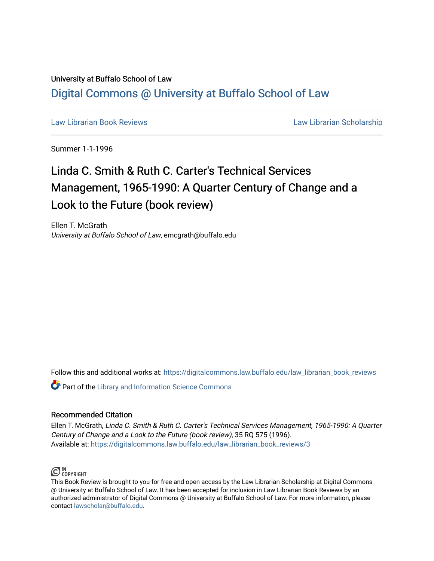## University at Buffalo School of Law [Digital Commons @ University at Buffalo School of Law](https://digitalcommons.law.buffalo.edu/)

[Law Librarian Book Reviews](https://digitalcommons.law.buffalo.edu/law_librarian_book_reviews) Law Librarian Scholarship

Summer 1-1-1996

## Linda C. Smith & Ruth C. Carter's Technical Services Management, 1965-1990: A Quarter Century of Change and a Look to the Future (book review)

Ellen T. McGrath University at Buffalo School of Law, emcgrath@buffalo.edu

Follow this and additional works at: [https://digitalcommons.law.buffalo.edu/law\\_librarian\\_book\\_reviews](https://digitalcommons.law.buffalo.edu/law_librarian_book_reviews?utm_source=digitalcommons.law.buffalo.edu%2Flaw_librarian_book_reviews%2F3&utm_medium=PDF&utm_campaign=PDFCoverPages) 

**Part of the Library and Information Science Commons** 

## Recommended Citation

Ellen T. McGrath, Linda C. Smith & Ruth C. Carter's Technical Services Management, 1965-1990: A Quarter Century of Change and a Look to the Future (book review), 35 RQ 575 (1996). Available at: [https://digitalcommons.law.buffalo.edu/law\\_librarian\\_book\\_reviews/3](https://digitalcommons.law.buffalo.edu/law_librarian_book_reviews/3?utm_source=digitalcommons.law.buffalo.edu%2Flaw_librarian_book_reviews%2F3&utm_medium=PDF&utm_campaign=PDFCoverPages) 



This Book Review is brought to you for free and open access by the Law Librarian Scholarship at Digital Commons @ University at Buffalo School of Law. It has been accepted for inclusion in Law Librarian Book Reviews by an authorized administrator of Digital Commons @ University at Buffalo School of Law. For more information, please contact [lawscholar@buffalo.edu.](mailto:lawscholar@buffalo.edu)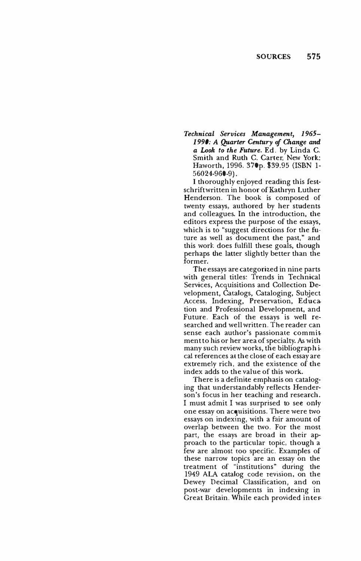*Technical Services Management, 1965- 1990: A Qµarter Century of Change and a Look to the Future.* Ed. by Linda C. Smith and Ruth C. Carter. New York: Haworth, 1996. 370p. \$39.95 (ISBN 1- 56024-960-9).

I thoroughly enjoyed reading this festschrift written in honor of Kathryn Luther Henderson. The book is composed of twenty essays, authored by her students and colleagues. In the introduction, the editors express the purpose of the essays, which is to "suggest directions for the future as well as document the past," and this work does fulfill these goals, though perhaps the latter slightly better than the former.

The essays are categorized in nine parts with general titles: Trends in Technical Services, Acquisitions and Collection Development, Catalogs, Cataloging, Subject Access, Indexing, Preservation, Education and Professional Development, and Future. Each of the essays is well researched and well written. The reader can sense each author's passionate commitment to his or her area of specialty. As with many such review works, the bibliographical references at the close of each essay are extremely rich, and the existence of the index adds to the value of this work.

There is a definite emphasis on cataloging that understandably reflects Henderson's focus in her teaching and research. I must admit I was surprised to see only one essay on acquisitions. There were two essays on indexing, with a fair amount of overlap between the two. For the most part, the essays are broad in their approach to the particular topic, though a few are almost too specific. Examples of these narrow topics are an essay on the treatment of "institutions" during the 1949 ALA catalog code revision, on the Dewey Decimal Classification, and on post-war developments in indexing in Great Britain. While each provided inter